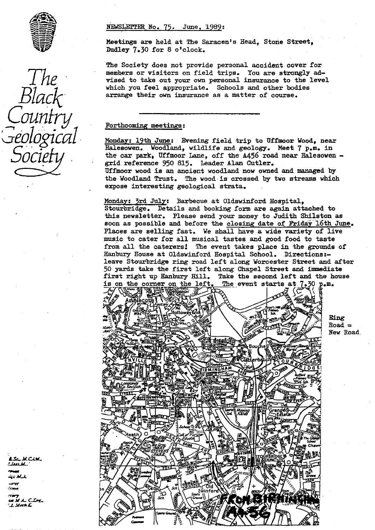

*The Black. Country geological Socie*

## NEWSLETTER No. 75. June, 1989 :

Meetings are held at The Saracen's Head, Stone Street, Dudley 7.30 for 8 o'clock.

The Society does not provide personal accident: cover for members or visitors on field trips. You are strongly advised to take out your own personal insurance to the **level** which you feel appropriate. Schools and other bodies arrange their own insurance as a matter of course.

## Forthcoming meetings :

Monday: 19th June: Evening field trip to Uffmoor Wood, near Halesowen. Woodland, wildlife and geology. Meet **7 p.m. in** the car park, Uffmoor Lane, off the A456 road near Halesowen grid reference 950 815. Leader Alan Cutler. Uffmoor wood is an ancient woodland now owned and managed by the Woodland Trust. The wood is crossed by two streams which expose interesting geological strata.

The event starts at  $7.30$  p.m. Monday: 3rd July: Barbecue at Oldswinford Hospital, Stourbridge. Details and booking form are again attached to this newsletter. Please send your money to Judith Shilston as soon as possible and before the closing date of Friday 16th June. Places are selling fast. We shall have a wide variety of live music to cater for all musical tastes and good food to taste from all the caterers! The event takes place in the grounds of Hanbury House at Oldswinford Hospital School. Directions: leave Stourbridge ring road left along Worcester Street and after 50 yards take the first left along Chapel Street and immediate first right up Hanbury Hill. Take the second left and the house<br>is on the corner on the left. The event starts at  $7.30$   $p_{\bullet}m_{\bullet}$ 



Ring  $Road =$ New Road.

LSC M.CIN. !Jan M. *tr AIL*

*F.r M A.* C.1T\_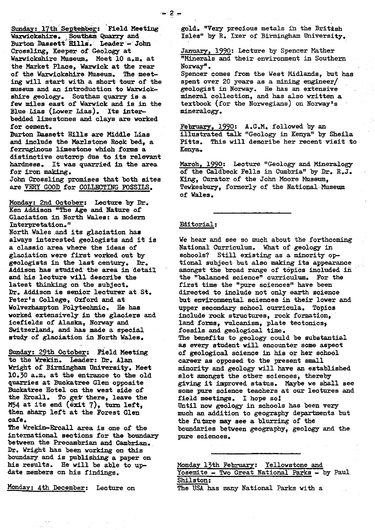Sunday: 17th September: Field Meeting Warwickshire.... Southam Quarry and Burton Dassett Hills. Leader - John Crossling, Keeper of Geology at Warwickshire Museum. Meet 10 a.m. at the Market Place, Warwick at the rear of the Warwickshire Museum. The meeting will start with a short tour of the museum and an introduction to Warwickshire geology. Southam quarry is a few miles east of Warwick and is in the Blue Lias (Lower Lias). Its inter**bedded** limestones and clays are worked for cement.

Burton Dassett **Mills** are Middle Lias and include the Marlstone Rook bed, a ferruginous limestone which forms a distinctive outcrop due to its relevant hardness. It was quarried in the area for iron making.

John Crossling promises that both sites are VERY GOOD for COLLECTING FOSSILS.

**Monday:** 2nd October: Lecture by Dr. Ken Addison "The Age and Nature of Glaciation in North Wales: a modern Interpretation."

North Wales and. its glaciation has always interested geologists and it is a classic area where the ideas of glaciation were first worked out by geologists in the last century. Dr. Addison has studied the area in detail and his lecture will describe the latest **thinking** on the subject. Dr. Addison is senior lecturer at St. Peter's College, Oxford and at Wolverhampton Polytechnic. He has worked extensively in the glaciers and icefields of Alaska, Norway and Switzerland, and has made a special study of glaciation in North Wales,

Sunday: 29th October: Field Meeting to the Wrekin. Leader: Dr. Alan Wright of Birmingham University. Meet 10.30 a.m. at the entrance to the old quarries at Buckatree Glen opposite Buckatree Hotel on the west side of the Ercall. To get there, leave the M54 at its end (exit 7), turn left, then sharp left at the Forest Glen cafe.

The **Wrekin-Ercall** area is one of the international sections for the boundary between the Precambrian and Cambrian. Dr. Wright has been working on this boundary and is publishing a paper on his results. He will be able to update members on his findings.

Monday: 4th December: Lecture on

gold. "Very precious metals in the British Isles" by R. Ixer of Birmingham University.

January, 1990: Lecture by Spencer Mather "Minerals and their environment in Southern Norway".

Spencer comes from the West Midlands, but has spent over 20 years as a mining engineer/ geologist in Norway. He has an extensive mineral collection, and has also written a textbook (for the Norwegians) on Norway's mineralogy.

February, 1990: A.G.M. followed by an illustrated talk "Geology in Kenya" by Sheila Pitts. This will describe her recent visit to Kenya.

March, 1990: Lecture "Geology and Mineralogy of the Caldbeck Fells in Cumbria" by Dr. R.J. King, Curator of the John Moore Museum, Tewkesbury, formerly of the National-Museum of Wales.

## Editorial :

 $= 2 -$ 

We hear and see so much about the forthcoming National Curriculum. What of geology in schools? Still existing as a minority **op**tional subject but also making its appearance amongst the broad range of topics included in the "balanced science" curriculum. For the first time the "pure sciences" have been directed to include not only earth science but environmental sciences in their lower and upper secondary school curricula. Topics include rock structures, rock formation, land forms, vulcanism, plate tectonics, fossils and geological time. The benefits to geology could be substantial as every student will encounter some aspect of geological science in his or her school career as opposed to the present small minority and geology will have an established slot amongst the other sciences, thereby giving it improved status. Maybe we shall see some pure science teachers at our lectures and field meetings. I hope so! Until now geology in schools has been very much an addition to geography departments but the future may see a blurring of the boundaries between geography, geology and the pure sciences.

**Monday 13th** February: Yellowstone and Yosemite - Two Great National Parka - by Paul Shilston: The USA has many National Parks with a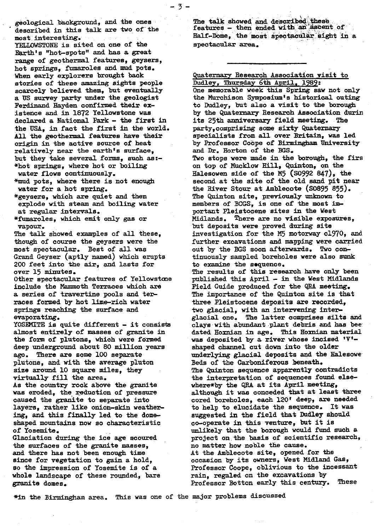geological background, and the ones described in this talk are two of the most interesting.

-3--

YELLOWSTONE is sited on one of the Earth's "hot-spots" and has a great range of geothermal features, geysers, hot springs, fumaroles and mud pots. When early explorers brought back stories of these amazing sights people scarcely believed them, but eventually a US survey party under the geologist Ferdinand Hayden confirmed their **existence** and in 1872 Yellowstone was declared a National Park - the first in the USA, in fact the first in the world. **All** the geothermal features have their origin in the active source of heat relatively near the earth's surface, but they take several forms, such as:- \*hot springs, where hot or boiling water flows continuously.

'-<sup>F</sup>raud pots, where there is not eno**ugh** water for a hot spring,

\*geysers, which are quiet and then explode with steam and boiling water at regular intervals.

\*fumaroles, which emit only gas or vapour.

The talk showed examples of all these, though of course the geysers were the most spectacular. Best of all was Grand Geyser (aptly named) which erupts 200 feet into the air, and lasts for over 15 minutes.

Other spectacular features of Yellowstcne include the Mammoth Terraces which are a series of travertine pools and terraces formed by hot lime-rich water springs reaching the surface and evaporating.

YOSEMITE is quite different - it consists almost entirely of masses of granite in the form of plutons, which were formed deep underground about 80 million years ago. There are some 100 separate plutons, and with the average pluton size around 10 square miles, they virtually fill the area.

As the country rock above the granite was eroded, the reduction of pressure caused the granite to separate into layers, rather like onion-skin **weathering,** and this finally led to the **domeshaped** mountains now so characteristic of Yosemite.

Glaciation during the ice age scoured the surfaces of the granite masses, and there has not been enough time since for vegetation to gain a hold, so the impression of Yosemite is of a whole landscape of these rounded, bare granite domes.

The talk showed and described these<br>features - then ended with an ascent of Half-Dome, the most spectacular sight in a spectacular area.

Quaternary Research Association visit to Dudley, Thursday 6th April, 1989:

One memorable week this Spring saw not only the Murchison Symposium's historical outing to Dudley, but also a visit to the borough by the Quaternary Research Association durin its 25th anniversary field meeting. The party, comprising some sixty Quaternary specialists from all over Britain, was led by Professor **Coops** of Birmingham University and Dr. Horton of the BGS. Two stops were made in the borough, the firs on top of **Mucklow** Hill, Quinton, on the Halesowen side of the M5 (50992 847), the second at the site of the old sand pit near the River Stour at Amblecote (50895 855). The Quinton site, previously unknown to members of BCGS, is one of the most important Pleistocene sites in the West Midlands. There are no visible exposures, but deposits were proved during site investigation for the M5 motorway 01970, and further excavations and mapping were carried out by the BGS soon afterwards. Two **continuously** sampled boreholes were also sunk to examine the sequence. The results of this research have only been published this April - in the West Midlands Field Guide produced for the QBA meeting. The importance of the Quinton site is that three Pleistocene deposits are recorded, two glacial, with an intervening interglacial one. The latter comprises silts and clays with abundant plant debris and has bee dated Hoxnian in age. This Hoxnian material was deposited by a river whose incised 'V' shaped channel cut down into the older underlying glacial deposits and the **Halesowe-**Beds of the Carboniferous beneath. The Quinton sequence apparently contradicts the interpretation of sequences found elsewhere\*by the QRA at its April meeting, although it was conceded that at least three cored boreholes, each 120' deep, are needed to help to elucidate the sequence. It was suggested in the field that Dudley should co-operate in this venture, but it is unlikely that the borough would fund such a project **on the** basis of scientific research, no matter how noble the cause. At the Amblecote site, opened for the occasion by its owners, West Midland Gas, Professor Coope, oblivious to the incessant rain, regaled on the excavations by Professor Botton early this century. These

\*in the Birmingham area. This was one of the major problems discussed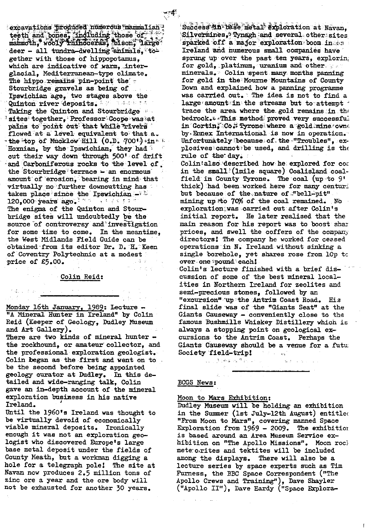excavations produced numerous mammalian<sup>1</sup> eeth and bones, including those of parties mammoth, wooly rhinoceras, plson, large deer -- all tundra-dwelling animals, to gether with those of hippopotamus, which are indicative of warm, interglacial, Mediterranean-type climate. The hippo remains pin-point the  $\tau$ **Stourbridge** gravels as. **being** .of. 1pswichinm age, two stages above the Quinton river deposits. We assess the Taking the Quinton and Stourbridge sites together. Professor Coope was at pains to point out that while rivers flowed at a level equivalent to that a.  $\cdot$  the top of Mucklow Hill (0.D. 700') in $\cdot$ Hoxnian, by the Ipswichian, they had out their way down through 500' of drift and Carboniferous rocks to the level of the Stourbridge terrace  $-$  an enormous amount of erosion, bearing in mind that virtually **no** further downcutting has taken place since the Ipswichian  $-$ <sup>3</sup>  $120,000$  years ago.  $1000 + 14$  and  $100$ 

The enigma of the Quinton and Stour**-**. bridge sites will undoubtedly be the source of controversy and investigation for some time to come. In the meantime, the West Midlands Field Guide can be obtained from its editor Dr. D. H. Keen of Coventry Polytechnic at a modest -price of €5.00.

#### Colin Reid:

Monday 16th January, 1989: Lecture. "A Mineral Hunter in Ireland" by Colin Reid (Keeper of Geology, Dudley Museum and Art Gallery). There are two kinds of mineral hunter the rockbound, or **amateur' collector,** and the professional exploration geologist. Colin began as the-first and went on **to** be the second before being appointed geology curator at Dudley. In this de-

tailed and wide-ranging talk, Colin gave an **in-depth** account of the mineral exploration business in his native Ireland.

Until the 1960's Ireland was thought to be virtually devoid of economically viable mineral deposits. Ironically enough it was not an exploration geo**logist** who discovered Europe's large base metal deposit under the fields of County Heath, but a workman digging a hole for a telegraph pole! The site at May an now produces 2.5 million tons of zinc ore a year and the ore body will not be exhausted for another 30 years.

Success in base metal exploration at Navan. Silvermines, Tynagh and several other sites  $sparse of$  off a major exploration boom in  $\circ$ Ireland and numerous small companies **have** sprung up over the past ten years, exploring for gold, . platinum, . uranium and **other** minerals. Cohn **:spent** *many-* months panning for gold in **the Mourne** Mountains of County Down and explained how a **panning** programme was carried out. The idea is not to find a large amount in the streams but to attempt  $\cdot$ trace the area where the gold remains in the bedrock. **by This method proved very successful** in  $\texttt{Gortin}$  : Co  $\texttt{f:}$  Tyrone: where a gold mine rowne by.Ennex International is now in operation. Unfortunately because of the "Troubles", explosives'cannot:be used, and drilling is the rule of the' dap.

Colin" also . 'described how- he- explored for - **co**<sup>c</sup> in the small (lmile square) Coalisland coalfield-in County Tyrone. **The coal(up to** 9' thick) had been **worked** here for many century but because of the nature of "bell-pit" mining up to 70% of the coal remained. No exploration was carried out after Colin's initial report. He later realised that the main reason for his report was to boost shar prices, and swell the coffers of the company directors! The company he worked for ceased operations in  $N$ . Ireland without sinking a single borehole, yet shares rose from 10p to over one pound each! Colin's lecture finished with a brief dis**cussion** of some of the best mineral **localities** in Northern Ireland for zeolites and **semi-precious** stones, followed by an "excursion"'up **' the** Antrim Coast Road. His

final slide **'was of** the "Giants Seat" at the Giants Causeway - conveniently close to the famous Bushmills Whiskey Distillery which is always a stopping point on geological ex**cursions** to the Antrim Coast. Perhaps the Giants Causeway should be a venue for a future Society field-triple **Society** 'field-trip1

district dist

## BCGS News[:](news:)

#### Moon to Mars Exhibition:

Dudley Museum will be holding an exhibition in the Summer (1st July-12th August) entitlec "From Moon to Mars", covering manned Space Exploration from 1969 - 2009. The exhibition. is based around an Area Museum Service exhibition on "The Apollo Missions". Moon roch mete.o.rites and tektites will be included among the displays. There will also be a lecture series by space experts such as Tim Furness, the BBC Space Correspondent ("The Apollo Crews and Training"), Dave Shayler ("Apollo II"), Dave Hardy ("Space Explora-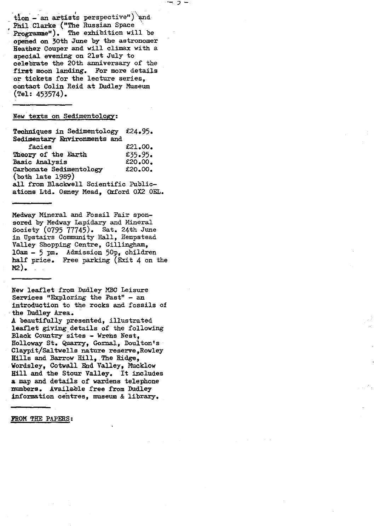$\text{tion -}$  an artists perspective") and Phil Clarke ("The Russian Space Programme"). The exhibition will be opened on 30th June by the astronomer Heather Couper and will climax with a s p ecial evening on 21st July to celebrate the 20th anniversary of the first moon landing. For more details or tickets for the lecture series, contact Colin Reid at Dudley Museum (Tel: 453574).

New texts on Sedimentology:

Techniques in Sedimentology €24.95. Sedimentary Environments and facies **£21.00.**<br>ry of the Earth **£35.95.** Theory of the Earth  $£35.95.$ <br>Basic Analysis  $£20.00.$ Basic Analysis 620.00.<br>Carbonate Sedimentology 620.00. Carbonate Sedimentology (both late 1989) all from Blackwell Scientific Publications Ltd. Osney Mead, Oxford 0X2 OEL.

Medway Mineral and Fossil Fair sponsored by Medway Lapidary and Mineral Society (0795 77745). Sat. 24th June in Upstairs Community Hall, Hempstead Valley Shopping Centre, Gillingham, loam - 5 pm. Admission 50p, children half price. Free parking (Exit 4 on the  $M2$ ).

New leaflet from Dudley NBC Leisure Services "Exploring the Past" - an introduction to the rocks and fossils of the Dudley Area.

A beautifully presented, illustrated leaflet giving details of the following Black Country sites - Wrens Nest, Holloway St. Quarry, Gornal, Doulton's Claypit/Saltwells nature reserve,Rowley Hills and *Barrow Hill,* The Ridge, Wordsley, Cotwall End Valley, Mucklow Hill and the Stour Valley. It includes a map and details of wardens telephone mumbers. Available free from Dudley information centres, museum & library.

FROM THE PAPERS :